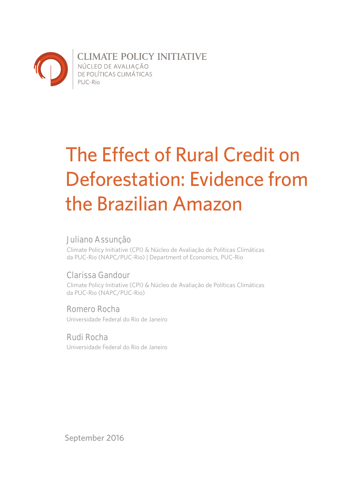

**CLIMATE POLICY INITIATIVE** NÚCLEO DE AVALIAÇÃO<br>DE POLÍTICAS CLIMÁTICAS PUC-Rio

# The Effect of Rural Credit on Deforestation: Evidence from the Brazilian Amazon

## **Juliano Assunção**

Climate Policy Initiative (CPI) & Núcleo de Avaliação de Políticas Climáticas da PUC-Rio (NAPC/PUC-Rio) | Department of Economics, PUC-Rio

## **Clarissa Gandour**

Climate Policy Initiative (CPI) & Núcleo de Avaliação de Políticas Climáticas da PUC-Rio (NAPC/PUC-Rio)

## **Romero Rocha**

Universidade Federal do Rio de Janeiro

### **Rudi Rocha**

Universidade Federal do Rio de Janeiro

September 2016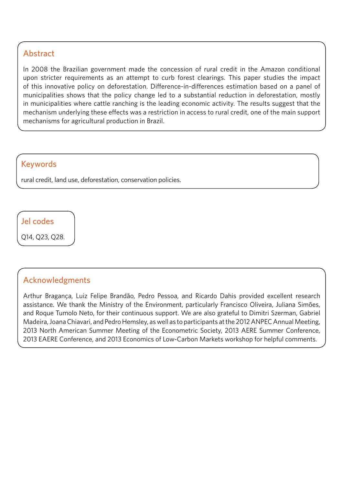## Abstract

In 2008 the Brazilian government made the concession of rural credit in the Amazon conditional upon stricter requirements as an attempt to curb forest clearings. This paper studies the impact of this innovative policy on deforestation. Difference-in-differences estimation based on a panel of municipalities shows that the policy change led to a substantial reduction in deforestation, mostly in municipalities where cattle ranching is the leading economic activity. The results suggest that the mechanism underlying these effects was a restriction in access to rural credit, one of the main support mechanisms for agricultural production in Brazil.

## Keywords

rural credit, land use, deforestation, conservation policies.

Jel codes

Q14, Q23, Q28.

## Acknowledgments

Arthur Bragança, Luiz Felipe Brandão, Pedro Pessoa, and Ricardo Dahis provided excellent research assistance. We thank the Ministry of the Environment, particularly Francisco Oliveira, Juliana Simões, and Roque Tumolo Neto, for their continuous support. We are also grateful to Dimitri Szerman, Gabriel Madeira, Joana Chiavari, and Pedro Hemsley, as well as to participants at the 2012 ANPEC Annual Meeting, 2013 North American Summer Meeting of the Econometric Society, 2013 AERE Summer Conference, 2013 EAERE Conference, and 2013 Economics of Low-Carbon Markets workshop for helpful comments.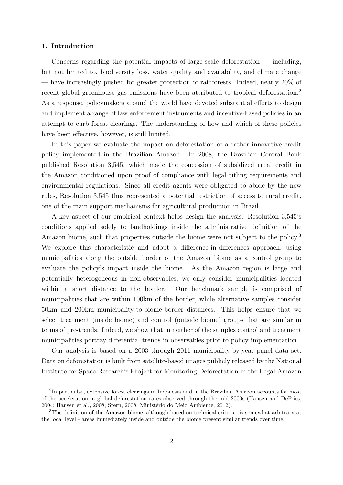#### 1. Introduction

Concerns regarding the potential impacts of large-scale deforestation  $-$  including, but not limited to, biodiversity loss, water quality and availability, and climate change — have increasingly pushed for greater protection of rainforests. Indeed, nearly 20% of recent global greenhouse gas emissions have been attributed to tropical deforestation.<sup>2</sup> As a response, policymakers around the world have devoted substantial efforts to design and implement a range of law enforcement instruments and incentive-based policies in an attempt to curb forest clearings. The understanding of how and which of these policies have been effective, however, is still limited.

In this paper we evaluate the impact on deforestation of a rather innovative credit policy implemented in the Brazilian Amazon. In 2008, the Brazilian Central Bank published Resolution 3,545, which made the concession of subsidized rural credit in the Amazon conditioned upon proof of compliance with legal titling requirements and environmental regulations. Since all credit agents were obligated to abide by the new rules, Resolution 3,545 thus represented a potential restriction of access to rural credit, one of the main support mechanisms for agricultural production in Brazil.

A key aspect of our empirical context helps design the analysis. Resolution 3,545's conditions applied solely to landholdings inside the administrative definition of the Amazon biome, such that properties outside the biome were not subject to the policy.<sup>3</sup> We explore this characteristic and adopt a difference-in-differences approach, using municipalities along the outside border of the Amazon biome as a control group to evaluate the policy's impact inside the biome. As the Amazon region is large and potentially heterogeneous in non-observables, we only consider municipalities located within a short distance to the border. Our benchmark sample is comprised of municipalities that are within 100km of the border, while alternative samples consider 50km and 200km municipality-to-biome-border distances. This helps ensure that we select treatment (inside biome) and control (outside biome) groups that are similar in terms of pre-trends. Indeed, we show that in neither of the samples control and treatment municipalities portray differential trends in observables prior to policy implementation.

Our analysis is based on a 2003 through 2011 municipality-by-year panel data set. Data on deforestation is built from satellite-based images publicly released by the National Institute for Space Research's Project for Monitoring Deforestation in the Legal Amazon

<sup>&</sup>lt;sup>2</sup>In particular, extensive forest clearings in Indonesia and in the Brazilian Amazon accounts for most of the acceleration in global deforestation rates observed through the mid-2000s (Hansen and DeFries, 2004; Hansen et al., 2008; Stern, 2008; Ministério do Meio Ambiente, 2012).

<sup>&</sup>lt;sup>3</sup>The definition of the Amazon biome, although based on technical criteria, is somewhat arbitrary at the local level - areas immediately inside and outside the biome present similar trends over time.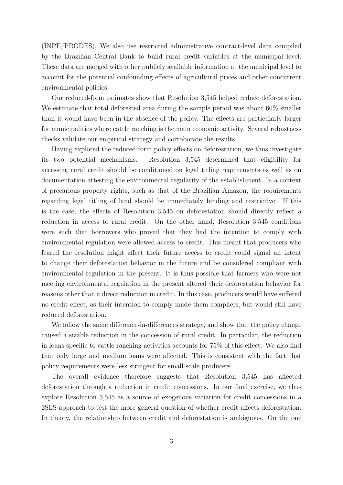(INPE/PRODES). We also use restricted administrative contract-level data compiled by the Brazilian Central Bank to build rural credit variables at the municipal level. These data are merged with other publicly available information at the municipal level to account for the potential confounding effects of agricultural prices and other concurrent environmental policies.

Our reduced-form estimates show that Resolution 3,545 helped reduce deforestation. We estimate that total deforested area during the sample period was about 60% smaller than it would have been in the absence of the policy. The effects are particularly larger for municipalities where cattle ranching is the main economic activity. Several robustness checks validate our empirical strategy and corroborate the results.

Having explored the reduced-form policy effects on deforestation, we thus investigate its two potential mechanisms. Resolution 3,545 determined that eligibility for accessing rural credit should be conditioned on legal titling requirements as well as on documentation attesting the environmental regularity of the establishment. In a context of precarious property rights, such as that of the Brazilian Amazon, the requirements regarding legal titling of land should be immediately binding and restrictive. If this is the case, the effects of Resolution 3,545 on deforestation should directly reflect a reduction in access to rural credit. On the other hand, Resolution 3,545 conditions were such that borrowers who proved that they had the intention to comply with environmental regulation were allowed access to credit. This meant that producers who feared the resolution might affect their future access to credit could signal an intent to change their deforestation behavior in the future and be considered compliant with environmental regulation in the present. It is thus possible that farmers who were not meeting environmental regulation in the present altered their deforestation behavior for reasons other than a direct reduction in credit. In this case, producers would have suffered no credit effect, as their intention to comply made them compliers, but would still have reduced deforestation.

We follow the same difference-in-differences strategy, and show that the policy change caused a sizable reduction in the concession of rural credit. In particular, the reduction in loans specific to cattle ranching activities accounts for 75% of this effect. We also find that only large and medium loans were affected. This is consistent with the fact that policy requirements were less stringent for small-scale producers.

The overall evidence therefore suggests that Resolution 3,545 has affected deforestation through a reduction in credit concessions. In our final exercise, we thus explore Resolution 3,545 as a source of exogenous variation for credit concessions in a 2SLS approach to test the more general question of whether credit affects deforestation. In theory, the relationship between credit and deforestation is ambiguous. On the one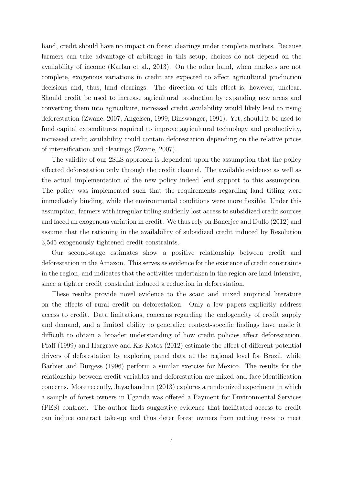hand, credit should have no impact on forest clearings under complete markets. Because farmers can take advantage of arbitrage in this setup, choices do not depend on the availability of income (Karlan et al., 2013). On the other hand, when markets are not complete, exogenous variations in credit are expected to affect agricultural production decisions and, thus, land clearings. The direction of this effect is, however, unclear. Should credit be used to increase agricultural production by expanding new areas and converting them into agriculture, increased credit availability would likely lead to rising deforestation (Zwane, 2007; Angelsen, 1999; Binswanger, 1991). Yet, should it be used to fund capital expenditures required to improve agricultural technology and productivity, increased credit availability could contain deforestation depending on the relative prices of intensification and clearings (Zwane, 2007).

The validity of our 2SLS approach is dependent upon the assumption that the policy affected deforestation only through the credit channel. The available evidence as well as the actual implementation of the new policy indeed lend support to this assumption. The policy was implemented such that the requirements regarding land titling were immediately binding, while the environmental conditions were more flexible. Under this assumption, farmers with irregular titling suddenly lost access to subsidized credit sources and faced an exogenous variation in credit. We thus rely on Banerjee and Duflo (2012) and assume that the rationing in the availability of subsidized credit induced by Resolution 3,545 exogenously tightened credit constraints.

Our second-stage estimates show a positive relationship between credit and deforestation in the Amazon. This serves as evidence for the existence of credit constraints in the region, and indicates that the activities undertaken in the region are land-intensive, since a tighter credit constraint induced a reduction in deforestation.

These results provide novel evidence to the scant and mixed empirical literature on the effects of rural credit on deforestation. Only a few papers explicitly address access to credit. Data limitations, concerns regarding the endogeneity of credit supply and demand, and a limited ability to generalize context-specific findings have made it difficult to obtain a broader understanding of how credit policies affect deforestation. Pfaff (1999) and Hargrave and Kis-Katos (2012) estimate the effect of different potential drivers of deforestation by exploring panel data at the regional level for Brazil, while Barbier and Burgess (1996) perform a similar exercise for Mexico. The results for the relationship between credit variables and deforestation are mixed and face identification concerns. More recently, Jayachandran (2013) explores a randomized experiment in which a sample of forest owners in Uganda was offered a Payment for Environmental Services (PES) contract. The author finds suggestive evidence that facilitated access to credit can induce contract take-up and thus deter forest owners from cutting trees to meet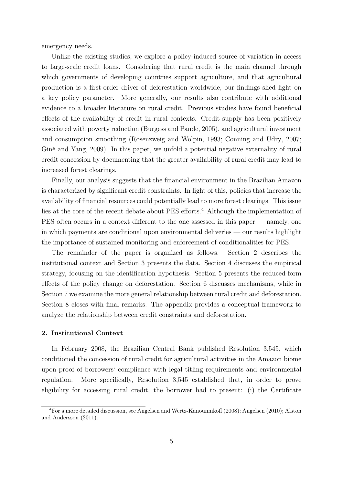emergency needs.

Unlike the existing studies, we explore a policy-induced source of variation in access to large-scale credit loans. Considering that rural credit is the main channel through which governments of developing countries support agriculture, and that agricultural production is a first-order driver of deforestation worldwide, our findings shed light on a key policy parameter. More generally, our results also contribute with additional evidence to a broader literature on rural credit. Previous studies have found beneficial effects of the availability of credit in rural contexts. Credit supply has been positively associated with poverty reduction (Burgess and Pande, 2005), and agricultural investment and consumption smoothing (Rosenzweig and Wolpin, 1993; Conning and Udry, 2007; Giné and Yang, 2009). In this paper, we unfold a potential negative externality of rural credit concession by documenting that the greater availability of rural credit may lead to increased forest clearings.

Finally, our analysis suggests that the financial environment in the Brazilian Amazon is characterized by significant credit constraints. In light of this, policies that increase the availability of financial resources could potentially lead to more forest clearings. This issue lies at the core of the recent debate about PES efforts.<sup>4</sup> Although the implementation of PES often occurs in a context different to the one assessed in this paper — namely, one in which payments are conditional upon environmental deliveries — our results highlight the importance of sustained monitoring and enforcement of conditionalities for PES.

The remainder of the paper is organized as follows. Section 2 describes the institutional context and Section 3 presents the data. Section 4 discusses the empirical strategy, focusing on the identification hypothesis. Section 5 presents the reduced-form effects of the policy change on deforestation. Section 6 discusses mechanisms, while in Section 7 we examine the more general relationship between rural credit and deforestation. Section 8 closes with final remarks. The appendix provides a conceptual framework to analyze the relationship between credit constraints and deforestation.

#### 2. Institutional Context

In February 2008, the Brazilian Central Bank published Resolution 3,545, which conditioned the concession of rural credit for agricultural activities in the Amazon biome upon proof of borrowers' compliance with legal titling requirements and environmental regulation. More specifically, Resolution 3,545 established that, in order to prove eligibility for accessing rural credit, the borrower had to present: (i) the Certificate

<sup>4</sup>For a more detailed discussion, see Angelsen and Wertz-Kanounnikoff (2008); Angelsen (2010); Alston and Andersson (2011).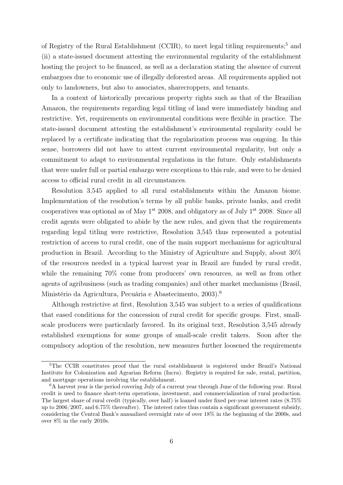of Registry of the Rural Establishment (CCIR), to meet legal titling requirements;<sup>5</sup> and (ii) a state-issued document attesting the environmental regularity of the establishment hosting the project to be financed, as well as a declaration stating the absence of current embargoes due to economic use of illegally deforested areas. All requirements applied not only to landowners, but also to associates, sharecroppers, and tenants.

In a context of historically precarious property rights such as that of the Brazilian Amazon, the requirements regarding legal titling of land were immediately binding and restrictive. Yet, requirements on environmental conditions were flexible in practice. The state-issued document attesting the establishment's environmental regularity could be replaced by a certificate indicating that the regularization process was ongoing. In this sense, borrowers did not have to attest current environmental regularity, but only a commitment to adapt to environmental regulations in the future. Only establishments that were under full or partial embargo were exceptions to this rule, and were to be denied access to official rural credit in all circumstances.

Resolution 3,545 applied to all rural establishments within the Amazon biome. Implementation of the resolution's terms by all public banks, private banks, and credit cooperatives was optional as of May  $1^{st}$  2008, and obligatory as of July  $1^{st}$  2008. Since all credit agents were obligated to abide by the new rules, and given that the requirements regarding legal titling were restrictive, Resolution 3,545 thus represented a potential restriction of access to rural credit, one of the main support mechanisms for agricultural production in Brazil. According to the Ministry of Agriculture and Supply, about 30% of the resources needed in a typical harvest year in Brazil are funded by rural credit, while the remaining  $70\%$  come from producers' own resources, as well as from other agents of agribusiness (such as trading companies) and other market mechanisms (Brasil, Ministério da Agricultura, Pecuária e Abastecimento, 2003).<sup>6</sup>

Although restrictive at first, Resolution 3,545 was subject to a series of qualifications that eased conditions for the concession of rural credit for specific groups. First, smallscale producers were particularly favored. In its original text, Resolution 3,545 already established exemptions for some groups of small-scale credit takers. Soon after the compulsory adoption of the resolution, new measures further loosened the requirements

<sup>&</sup>lt;sup>5</sup>The CCIR constitutes proof that the rural establishment is registered under Brazil's National Institute for Colonization and Agrarian Reform (Incra). Registry is required for sale, rental, partition, and mortgage operations involving the establishment.

 ${}^{6}A$  harvest year is the period covering July of a current year through June of the following year. Rural credit is used to finance short-term operations, investment, and commercialization of rural production. The largest share of rural credit (typically, over half) is loaned under fixed per-year interest rates (8.75% up to 2006/2007, and 6.75% thereafter). The interest rates thus contain a significant government subsidy, considering the Central Bank's annualized overnight rate of over 18% in the beginning of the 2000s, and over 8% in the early 2010s.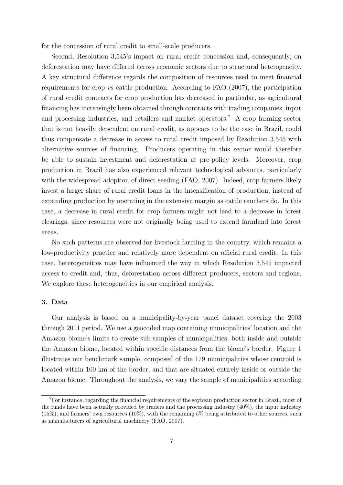for the concession of rural credit to small-scale producers.

Second, Resolution 3,545's impact on rural credit concession and, consequently, on deforestation may have differed across economic sectors due to structural heterogeneity. A key structural difference regards the composition of resources used to meet financial requirements for crop vs cattle production. According to FAO (2007), the participation of rural credit contracts for crop production has decreased in particular, as agricultural financing has increasingly been obtained through contracts with trading companies, input and processing industries, and retailers and market operators.<sup>7</sup> A crop farming sector that is not heavily dependent on rural credit, as appears to be the case in Brazil, could thus compensate a decrease in access to rural credit imposed by Resolution 3,545 with alternative sources of financing. Producers operating in this sector would therefore be able to sustain investment and deforestation at pre-policy levels. Moreover, crop production in Brazil has also experienced relevant technological advances, particularly with the widespread adoption of direct seeding (FAO, 2007). Indeed, crop farmers likely invest a larger share of rural credit loans in the intensification of production, instead of expanding production by operating in the extensive margin as cattle ranchers do. In this case, a decrease in rural credit for crop farmers might not lead to a decrease in forest clearings, since resources were not originally being used to extend farmland into forest areas.

No such patterns are observed for livestock farming in the country, which remains a low-productivity practice and relatively more dependent on official rural credit. In this case, heterogeneities may have influenced the way in which Resolution 3,545 impacted access to credit and, thus, deforestation across different producers, sectors and regions. We explore these heterogeneities in our empirical analysis.

#### 3. Data

Our analysis is based on a municipality-by-year panel dataset covering the 2003 through 2011 period. We use a geocoded map containing municipalities' location and the Amazon biome's limits to create sub-samples of municipalities, both inside and outside the Amazon biome, located within specific distances from the biome's border. Figure 1 illustrates our benchmark sample, composed of the 179 municipalities whose centroid is located within 100 km of the border, and that are situated entirely inside or outside the Amazon biome. Throughout the analysis, we vary the sample of municipalities according

<sup>7</sup>For instance, regarding the financial requirements of the soybean production sector in Brazil, most of the funds have been actually provided by traders and the processing industry (40%), the input industry (15%), and farmers' own resources (10%), with the remaining 5% being attributed to other sources, such as manufacturers of agricultural machinery (FAO, 2007).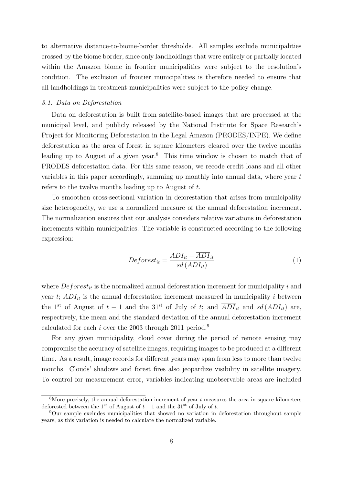to alternative distance-to-biome-border thresholds. All samples exclude municipalities crossed by the biome border, since only landholdings that were entirely or partially located within the Amazon biome in frontier municipalities were subject to the resolution's condition. The exclusion of frontier municipalities is therefore needed to ensure that all landholdings in treatment municipalities were subject to the policy change.

#### 3.1. Data on Deforestation

Data on deforestation is built from satellite-based images that are processed at the municipal level, and publicly released by the National Institute for Space Research's Project for Monitoring Deforestation in the Legal Amazon (PRODES/INPE). We define deforestation as the area of forest in square kilometers cleared over the twelve months leading up to August of a given year.<sup>8</sup> This time window is chosen to match that of PRODES deforestation data. For this same reason, we recode credit loans and all other variables in this paper accordingly, summing up monthly into annual data, where year t refers to the twelve months leading up to August of t.

To smoothen cross-sectional variation in deforestation that arises from municipality size heterogeneity, we use a normalized measure of the annual deforestation increment. The normalization ensures that our analysis considers relative variations in deforestation increments within municipalities. The variable is constructed according to the following expression:

$$
Deforest_{it} = \frac{ADI_{it} - \overline{ADI}_{it}}{sd \,(ADI_{it})} \tag{1}
$$

where  $Deforest_{it}$  is the normalized annual deforestation increment for municipality i and year  $t$ ;  $ADI_{it}$  is the annual deforestation increment measured in municipality i between the 1<sup>st</sup> of August of  $t - 1$  and the 31<sup>st</sup> of July of t; and  $\overline{ADI}_{it}$  and  $sd(ADI_{it})$  are, respectively, the mean and the standard deviation of the annual deforestation increment calculated for each i over the 2003 through 2011 period.<sup>9</sup>

For any given municipality, cloud cover during the period of remote sensing may compromise the accuracy of satellite images, requiring images to be produced at a different time. As a result, image records for different years may span from less to more than twelve months. Clouds' shadows and forest fires also jeopardize visibility in satellite imagery. To control for measurement error, variables indicating unobservable areas are included

 $8$ More precisely, the annual deforestation increment of year t measures the area in square kilometers deforested between the 1<sup>st</sup> of August of  $t - 1$  and the 31<sup>st</sup> of July of t.

<sup>9</sup>Our sample excludes municipalities that showed no variation in deforestation throughout sample years, as this variation is needed to calculate the normalized variable.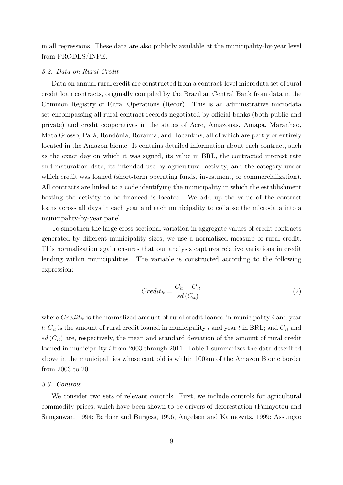in all regressions. These data are also publicly available at the municipality-by-year level from PRODES/INPE.

#### 3.2. Data on Rural Credit

Data on annual rural credit are constructed from a contract-level microdata set of rural credit loan contracts, originally compiled by the Brazilian Central Bank from data in the Common Registry of Rural Operations (Recor). This is an administrative microdata set encompassing all rural contract records negotiated by official banks (both public and private) and credit cooperatives in the states of Acre, Amazonas, Amapá, Maranhão, Mato Grosso, Pará, Rondônia, Roraima, and Tocantins, all of which are partly or entirely located in the Amazon biome. It contains detailed information about each contract, such as the exact day on which it was signed, its value in BRL, the contracted interest rate and maturation date, its intended use by agricultural activity, and the category under which credit was loaned (short-term operating funds, investment, or commercialization). All contracts are linked to a code identifying the municipality in which the establishment hosting the activity to be financed is located. We add up the value of the contract loans across all days in each year and each municipality to collapse the microdata into a municipality-by-year panel.

To smoothen the large cross-sectional variation in aggregate values of credit contracts generated by different municipality sizes, we use a normalized measure of rural credit. This normalization again ensures that our analysis captures relative variations in credit lending within municipalities. The variable is constructed according to the following expression:

$$
Credit_{it} = \frac{C_{it} - C_{it}}{sd(C_{it})}
$$
\n
$$
(2)
$$

where  $Credit_{it}$  is the normalized amount of rural credit loaned in municipality i and year t;  $C_{it}$  is the amount of rural credit loaned in municipality i and year t in BRL; and  $\overline{C}_{it}$  and  $sd(C_{it})$  are, respectively, the mean and standard deviation of the amount of rural credit loaned in municipality i from 2003 through 2011. Table 1 summarizes the data described above in the municipalities whose centroid is within 100km of the Amazon Biome border from 2003 to 2011.

#### 3.3. Controls

We consider two sets of relevant controls. First, we include controls for agricultural commodity prices, which have been shown to be drivers of deforestation (Panayotou and Sungsuwan, 1994; Barbier and Burgess, 1996; Angelsen and Kaimowitz, 1999; Assunção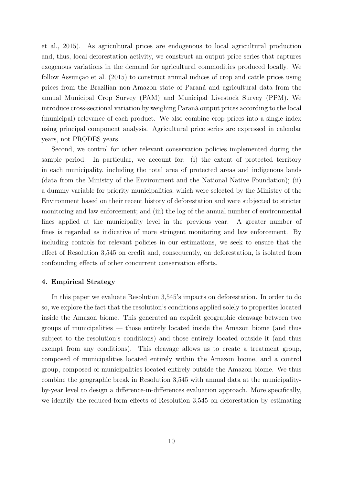et al., 2015). As agricultural prices are endogenous to local agricultural production and, thus, local deforestation activity, we construct an output price series that captures exogenous variations in the demand for agricultural commodities produced locally. We follow Assunção et al. (2015) to construct annual indices of crop and cattle prices using prices from the Brazilian non-Amazon state of Paraná and agricultural data from the annual Municipal Crop Survey (PAM) and Municipal Livestock Survey (PPM). We introduce cross-sectional variation by weighing Paraná output prices according to the local (municipal) relevance of each product. We also combine crop prices into a single index using principal component analysis. Agricultural price series are expressed in calendar years, not PRODES years.

Second, we control for other relevant conservation policies implemented during the sample period. In particular, we account for: (i) the extent of protected territory in each municipality, including the total area of protected areas and indigenous lands (data from the Ministry of the Environment and the National Native Foundation); (ii) a dummy variable for priority municipalities, which were selected by the Ministry of the Environment based on their recent history of deforestation and were subjected to stricter monitoring and law enforcement; and (iii) the log of the annual number of environmental fines applied at the municipality level in the previous year. A greater number of fines is regarded as indicative of more stringent monitoring and law enforcement. By including controls for relevant policies in our estimations, we seek to ensure that the effect of Resolution 3,545 on credit and, consequently, on deforestation, is isolated from confounding effects of other concurrent conservation efforts.

#### 4. Empirical Strategy

In this paper we evaluate Resolution 3,545's impacts on deforestation. In order to do so, we explore the fact that the resolution's conditions applied solely to properties located inside the Amazon biome. This generated an explicit geographic cleavage between two groups of municipalities — those entirely located inside the Amazon biome (and thus subject to the resolution's conditions) and those entirely located outside it (and thus exempt from any conditions). This cleavage allows us to create a treatment group, composed of municipalities located entirely within the Amazon biome, and a control group, composed of municipalities located entirely outside the Amazon biome. We thus combine the geographic break in Resolution 3,545 with annual data at the municipalityby-year level to design a difference-in-differences evaluation approach. More specifically, we identify the reduced-form effects of Resolution 3,545 on deforestation by estimating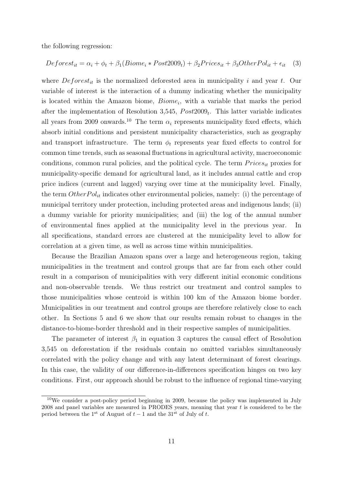the following regression:

$$
Deforest_{it} = \alpha_i + \phi_t + \beta_1(Biome_i * Post2009_t) + \beta_2 Prices_{it} + \beta_3OtherPol_{it} + \epsilon_{it} \quad (3)
$$

where  $Deforest_{it}$  is the normalized deforested area in municipality i and year t. Our variable of interest is the interaction of a dummy indicating whether the municipality is located within the Amazon biome,  $Biome<sub>i</sub>$ , with a variable that marks the period after the implementation of Resolution 3,545,  $Post2009_t$ . This latter variable indicates all years from 2009 onwards.<sup>10</sup> The term  $\alpha_i$  represents municipality fixed effects, which absorb initial conditions and persistent municipality characteristics, such as geography and transport infrastructure. The term  $\phi_t$  represents year fixed effects to control for common time trends, such as seasonal fluctuations in agricultural activity, macroeconomic conditions, common rural policies, and the political cycle. The term  $Prices_{it}$  proxies for municipality-specific demand for agricultural land, as it includes annual cattle and crop price indices (current and lagged) varying over time at the municipality level. Finally, the term  $Other Pol_{it}$  indicates other environmental policies, namely: (i) the percentage of municipal territory under protection, including protected areas and indigenous lands; (ii) a dummy variable for priority municipalities; and (iii) the log of the annual number of environmental fines applied at the municipality level in the previous year. In all specifications, standard errors are clustered at the municipality level to allow for correlation at a given time, as well as across time within municipalities.

Because the Brazilian Amazon spans over a large and heterogeneous region, taking municipalities in the treatment and control groups that are far from each other could result in a comparison of municipalities with very different initial economic conditions and non-observable trends. We thus restrict our treatment and control samples to those municipalities whose centroid is within 100 km of the Amazon biome border. Municipalities in our treatment and control groups are therefore relatively close to each other. In Sections 5 and 6 we show that our results remain robust to changes in the distance-to-biome-border threshold and in their respective samples of municipalities.

The parameter of interest  $\beta_1$  in equation 3 captures the causal effect of Resolution 3,545 on deforestation if the residuals contain no omitted variables simultaneously correlated with the policy change and with any latent determinant of forest clearings. In this case, the validity of our difference-in-differences specification hinges on two key conditions. First, our approach should be robust to the influence of regional time-varying

 $10$ We consider a post-policy period beginning in 2009, because the policy was implemented in July 2008 and panel variables are measured in PRODES years, meaning that year t is considered to be the period between the 1<sup>st</sup> of August of  $t-1$  and the 31<sup>st</sup> of July of t.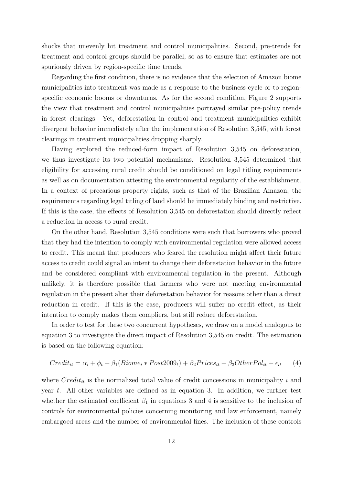shocks that unevenly hit treatment and control municipalities. Second, pre-trends for treatment and control groups should be parallel, so as to ensure that estimates are not spuriously driven by region-specific time trends.

Regarding the first condition, there is no evidence that the selection of Amazon biome municipalities into treatment was made as a response to the business cycle or to regionspecific economic booms or downturns. As for the second condition, Figure 2 supports the view that treatment and control municipalities portrayed similar pre-policy trends in forest clearings. Yet, deforestation in control and treatment municipalities exhibit divergent behavior immediately after the implementation of Resolution 3,545, with forest clearings in treatment municipalities dropping sharply.

Having explored the reduced-form impact of Resolution 3,545 on deforestation, we thus investigate its two potential mechanisms. Resolution 3,545 determined that eligibility for accessing rural credit should be conditioned on legal titling requirements as well as on documentation attesting the environmental regularity of the establishment. In a context of precarious property rights, such as that of the Brazilian Amazon, the requirements regarding legal titling of land should be immediately binding and restrictive. If this is the case, the effects of Resolution 3,545 on deforestation should directly reflect a reduction in access to rural credit.

On the other hand, Resolution 3,545 conditions were such that borrowers who proved that they had the intention to comply with environmental regulation were allowed access to credit. This meant that producers who feared the resolution might affect their future access to credit could signal an intent to change their deforestation behavior in the future and be considered compliant with environmental regulation in the present. Although unlikely, it is therefore possible that farmers who were not meeting environmental regulation in the present alter their deforestation behavior for reasons other than a direct reduction in credit. If this is the case, producers will suffer no credit effect, as their intention to comply makes them compliers, but still reduce deforestation.

In order to test for these two concurrent hypotheses, we draw on a model analogous to equation 3 to investigate the direct impact of Resolution 3,545 on credit. The estimation is based on the following equation:

$$
Credit_{it} = \alpha_i + \phi_t + \beta_1(Biome_i * Post2009_t) + \beta_2 Prices_{it} + \beta_3OtherPol_{it} + \epsilon_{it} \tag{4}
$$

where  $Credit_{it}$  is the normalized total value of credit concessions in municipality i and year t. All other variables are defined as in equation 3. In addition, we further test whether the estimated coefficient  $\beta_1$  in equations 3 and 4 is sensitive to the inclusion of controls for environmental policies concerning monitoring and law enforcement, namely embargoed areas and the number of environmental fines. The inclusion of these controls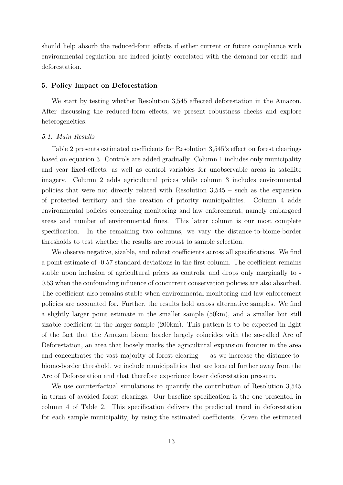should help absorb the reduced-form effects if either current or future compliance with environmental regulation are indeed jointly correlated with the demand for credit and deforestation.

#### 5. Policy Impact on Deforestation

We start by testing whether Resolution 3,545 affected deforestation in the Amazon. After discussing the reduced-form effects, we present robustness checks and explore heterogeneities.

#### 5.1. Main Results

Table 2 presents estimated coefficients for Resolution 3,545's effect on forest clearings based on equation 3. Controls are added gradually. Column 1 includes only municipality and year fixed-effects, as well as control variables for unobservable areas in satellite imagery. Column 2 adds agricultural prices while column 3 includes environmental policies that were not directly related with Resolution 3,545 – such as the expansion of protected territory and the creation of priority municipalities. Column 4 adds environmental policies concerning monitoring and law enforcement, namely embargoed areas and number of environmental fines. This latter column is our most complete specification. In the remaining two columns, we vary the distance-to-biome-border thresholds to test whether the results are robust to sample selection.

We observe negative, sizable, and robust coefficients across all specifications. We find a point estimate of -0.57 standard deviations in the first column. The coefficient remains stable upon inclusion of agricultural prices as controls, and drops only marginally to - 0.53 when the confounding influence of concurrent conservation policies are also absorbed. The coefficient also remains stable when environmental monitoring and law enforcement policies are accounted for. Further, the results hold across alternative samples. We find a slightly larger point estimate in the smaller sample (50km), and a smaller but still sizable coefficient in the larger sample (200km). This pattern is to be expected in light of the fact that the Amazon biome border largely coincides with the so-called Arc of Deforestation, an area that loosely marks the agricultural expansion frontier in the area and concentrates the vast majority of forest clearing — as we increase the distance-tobiome-border threshold, we include municipalities that are located further away from the Arc of Deforestation and that therefore experience lower deforestation pressure.

We use counterfactual simulations to quantify the contribution of Resolution 3,545 in terms of avoided forest clearings. Our baseline specification is the one presented in column 4 of Table 2. This specification delivers the predicted trend in deforestation for each sample municipality, by using the estimated coefficients. Given the estimated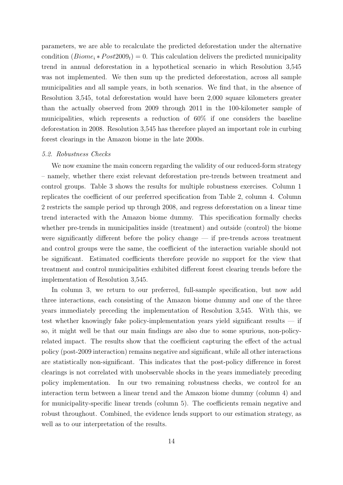parameters, we are able to recalculate the predicted deforestation under the alternative condition  $(Biome_i * Post2009_t) = 0$ . This calculation delivers the predicted municipality trend in annual deforestation in a hypothetical scenario in which Resolution 3,545 was not implemented. We then sum up the predicted deforestation, across all sample municipalities and all sample years, in both scenarios. We find that, in the absence of Resolution 3,545, total deforestation would have been 2,000 square kilometers greater than the actually observed from 2009 through 2011 in the 100-kilometer sample of municipalities, which represents a reduction of 60% if one considers the baseline deforestation in 2008. Resolution 3,545 has therefore played an important role in curbing forest clearings in the Amazon biome in the late 2000s.

#### 5.2. Robustness Checks

We now examine the main concern regarding the validity of our reduced-form strategy – namely, whether there exist relevant deforestation pre-trends between treatment and control groups. Table 3 shows the results for multiple robustness exercises. Column 1 replicates the coefficient of our preferred specification from Table 2, column 4. Column 2 restricts the sample period up through 2008, and regress deforestation on a linear time trend interacted with the Amazon biome dummy. This specification formally checks whether pre-trends in municipalities inside (treatment) and outside (control) the biome were significantly different before the policy change — if pre-trends across treatment and control groups were the same, the coefficient of the interaction variable should not be significant. Estimated coefficients therefore provide no support for the view that treatment and control municipalities exhibited different forest clearing trends before the implementation of Resolution 3,545.

In column 3, we return to our preferred, full-sample specification, but now add three interactions, each consisting of the Amazon biome dummy and one of the three years immediately preceding the implementation of Resolution 3,545. With this, we test whether knowingly fake policy-implementation years yield significant results — if so, it might well be that our main findings are also due to some spurious, non-policyrelated impact. The results show that the coefficient capturing the effect of the actual policy (post-2009 interaction) remains negative and significant, while all other interactions are statistically non-significant. This indicates that the post-policy difference in forest clearings is not correlated with unobservable shocks in the years immediately preceding policy implementation. In our two remaining robustness checks, we control for an interaction term between a linear trend and the Amazon biome dummy (column 4) and for municipality-specific linear trends (column 5). The coefficients remain negative and robust throughout. Combined, the evidence lends support to our estimation strategy, as well as to our interpretation of the results.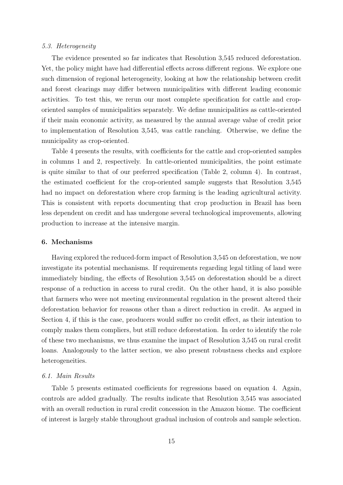#### 5.3. Heterogeneity

The evidence presented so far indicates that Resolution 3,545 reduced deforestation. Yet, the policy might have had differential effects across different regions. We explore one such dimension of regional heterogeneity, looking at how the relationship between credit and forest clearings may differ between municipalities with different leading economic activities. To test this, we rerun our most complete specification for cattle and croporiented samples of municipalities separately. We define municipalities as cattle-oriented if their main economic activity, as measured by the annual average value of credit prior to implementation of Resolution 3,545, was cattle ranching. Otherwise, we define the municipality as crop-oriented.

Table 4 presents the results, with coefficients for the cattle and crop-oriented samples in columns 1 and 2, respectively. In cattle-oriented municipalities, the point estimate is quite similar to that of our preferred specification (Table 2, column 4). In contrast, the estimated coefficient for the crop-oriented sample suggests that Resolution 3,545 had no impact on deforestation where crop farming is the leading agricultural activity. This is consistent with reports documenting that crop production in Brazil has been less dependent on credit and has undergone several technological improvements, allowing production to increase at the intensive margin.

#### 6. Mechanisms

Having explored the reduced-form impact of Resolution 3,545 on deforestation, we now investigate its potential mechanisms. If requirements regarding legal titling of land were immediately binding, the effects of Resolution 3,545 on deforestation should be a direct response of a reduction in access to rural credit. On the other hand, it is also possible that farmers who were not meeting environmental regulation in the present altered their deforestation behavior for reasons other than a direct reduction in credit. As argued in Section 4, if this is the case, producers would suffer no credit effect, as their intention to comply makes them compliers, but still reduce deforestation. In order to identify the role of these two mechanisms, we thus examine the impact of Resolution 3,545 on rural credit loans. Analogously to the latter section, we also present robustness checks and explore heterogeneities.

#### 6.1. Main Results

Table 5 presents estimated coefficients for regressions based on equation 4. Again, controls are added gradually. The results indicate that Resolution 3,545 was associated with an overall reduction in rural credit concession in the Amazon biome. The coefficient of interest is largely stable throughout gradual inclusion of controls and sample selection.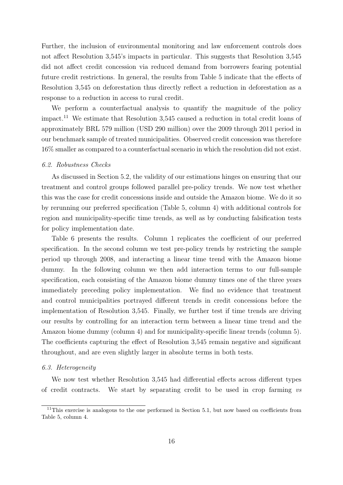Further, the inclusion of environmental monitoring and law enforcement controls does not affect Resolution 3,545's impacts in particular. This suggests that Resolution 3,545 did not affect credit concession via reduced demand from borrowers fearing potential future credit restrictions. In general, the results from Table 5 indicate that the effects of Resolution 3,545 on deforestation thus directly reflect a reduction in deforestation as a response to a reduction in access to rural credit.

We perform a counterfactual analysis to quantify the magnitude of the policy impact.<sup>11</sup> We estimate that Resolution 3,545 caused a reduction in total credit loans of approximately BRL 579 million (USD 290 million) over the 2009 through 2011 period in our benchmark sample of treated municipalities. Observed credit concession was therefore 16% smaller as compared to a counterfactual scenario in which the resolution did not exist.

#### 6.2. Robustness Checks

As discussed in Section 5.2, the validity of our estimations hinges on ensuring that our treatment and control groups followed parallel pre-policy trends. We now test whether this was the case for credit concessions inside and outside the Amazon biome. We do it so by rerunning our preferred specification (Table 5, column 4) with additional controls for region and municipality-specific time trends, as well as by conducting falsification tests for policy implementation date.

Table 6 presents the results. Column 1 replicates the coefficient of our preferred specification. In the second column we test pre-policy trends by restricting the sample period up through 2008, and interacting a linear time trend with the Amazon biome dummy. In the following column we then add interaction terms to our full-sample specification, each consisting of the Amazon biome dummy times one of the three years immediately preceding policy implementation. We find no evidence that treatment and control municipalities portrayed different trends in credit concessions before the implementation of Resolution 3,545. Finally, we further test if time trends are driving our results by controlling for an interaction term between a linear time trend and the Amazon biome dummy (column 4) and for municipality-specific linear trends (column 5). The coefficients capturing the effect of Resolution 3,545 remain negative and significant throughout, and are even slightly larger in absolute terms in both tests.

#### 6.3. Heterogeneity

We now test whether Resolution 3,545 had differential effects across different types of credit contracts. We start by separating credit to be used in crop farming vs

 $11$ This exercise is analogous to the one performed in Section 5.1, but now based on coefficients from Table 5, column 4.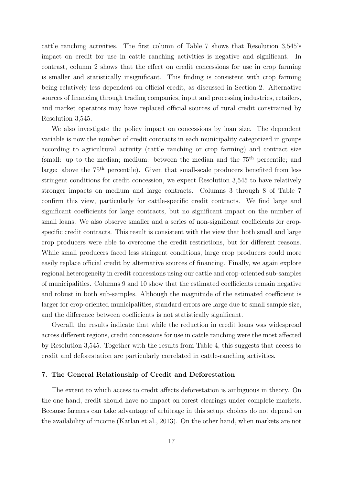cattle ranching activities. The first column of Table 7 shows that Resolution 3,545's impact on credit for use in cattle ranching activities is negative and significant. In contrast, column 2 shows that the effect on credit concessions for use in crop farming is smaller and statistically insignificant. This finding is consistent with crop farming being relatively less dependent on official credit, as discussed in Section 2. Alternative sources of financing through trading companies, input and processing industries, retailers, and market operators may have replaced official sources of rural credit constrained by Resolution 3,545.

We also investigate the policy impact on concessions by loan size. The dependent variable is now the number of credit contracts in each municipality categorized in groups according to agricultural activity (cattle ranching or crop farming) and contract size (small: up to the median; medium: between the median and the  $75<sup>th</sup>$  percentile; and large: above the 75<sup>th</sup> percentile). Given that small-scale producers benefited from less stringent conditions for credit concession, we expect Resolution 3,545 to have relatively stronger impacts on medium and large contracts. Columns 3 through 8 of Table 7 confirm this view, particularly for cattle-specific credit contracts. We find large and significant coefficients for large contracts, but no significant impact on the number of small loans. We also observe smaller and a series of non-significant coefficients for cropspecific credit contracts. This result is consistent with the view that both small and large crop producers were able to overcome the credit restrictions, but for different reasons. While small producers faced less stringent conditions, large crop producers could more easily replace official credit by alternative sources of financing. Finally, we again explore regional heterogeneity in credit concessions using our cattle and crop-oriented sub-samples of municipalities. Columns 9 and 10 show that the estimated coefficients remain negative and robust in both sub-samples. Although the magnitude of the estimated coefficient is larger for crop-oriented municipalities, standard errors are large due to small sample size, and the difference between coefficients is not statistically significant.

Overall, the results indicate that while the reduction in credit loans was widespread across different regions, credit concessions for use in cattle ranching were the most affected by Resolution 3,545. Together with the results from Table 4, this suggests that access to credit and deforestation are particularly correlated in cattle-ranching activities.

#### 7. The General Relationship of Credit and Deforestation

The extent to which access to credit affects deforestation is ambiguous in theory. On the one hand, credit should have no impact on forest clearings under complete markets. Because farmers can take advantage of arbitrage in this setup, choices do not depend on the availability of income (Karlan et al., 2013). On the other hand, when markets are not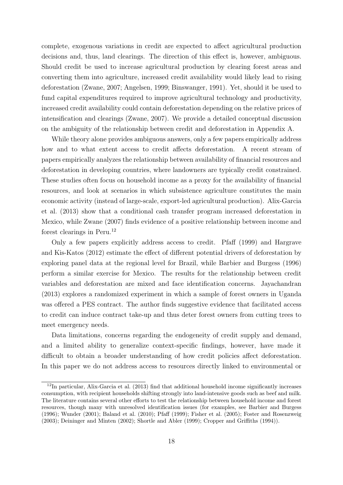complete, exogenous variations in credit are expected to affect agricultural production decisions and, thus, land clearings. The direction of this effect is, however, ambiguous. Should credit be used to increase agricultural production by clearing forest areas and converting them into agriculture, increased credit availability would likely lead to rising deforestation (Zwane, 2007; Angelsen, 1999; Binswanger, 1991). Yet, should it be used to fund capital expenditures required to improve agricultural technology and productivity, increased credit availability could contain deforestation depending on the relative prices of intensification and clearings (Zwane, 2007). We provide a detailed conceptual discussion on the ambiguity of the relationship between credit and deforestation in Appendix A.

While theory alone provides ambiguous answers, only a few papers empirically address how and to what extent access to credit affects deforestation. A recent stream of papers empirically analyzes the relationship between availability of financial resources and deforestation in developing countries, where landowners are typically credit constrained. These studies often focus on household income as a proxy for the availability of financial resources, and look at scenarios in which subsistence agriculture constitutes the main economic activity (instead of large-scale, export-led agricultural production). Alix-Garcia et al. (2013) show that a conditional cash transfer program increased deforestation in Mexico, while Zwane (2007) finds evidence of a positive relationship between income and forest clearings in Peru.<sup>12</sup>

Only a few papers explicitly address access to credit. Pfaff (1999) and Hargrave and Kis-Katos (2012) estimate the effect of different potential drivers of deforestation by exploring panel data at the regional level for Brazil, while Barbier and Burgess (1996) perform a similar exercise for Mexico. The results for the relationship between credit variables and deforestation are mixed and face identification concerns. Jayachandran (2013) explores a randomized experiment in which a sample of forest owners in Uganda was offered a PES contract. The author finds suggestive evidence that facilitated access to credit can induce contract take-up and thus deter forest owners from cutting trees to meet emergency needs.

Data limitations, concerns regarding the endogeneity of credit supply and demand, and a limited ability to generalize context-specific findings, however, have made it difficult to obtain a broader understanding of how credit policies affect deforestation. In this paper we do not address access to resources directly linked to environmental or

 $12$ In particular, Alix-Garcia et al. (2013) find that additional household income significantly increases consumption, with recipient households shifting strongly into land-intensive goods such as beef and milk. The literature contains several other efforts to test the relationship between household income and forest resources, though many with unresolved identification issues (for examples, see Barbier and Burgess (1996); Wunder (2001); Baland et al. (2010); Pfaff (1999); Fisher et al. (2005); Foster and Rosenzweig (2003); Deininger and Minten (2002); Shortle and Abler (1999); Cropper and Griffiths (1994)).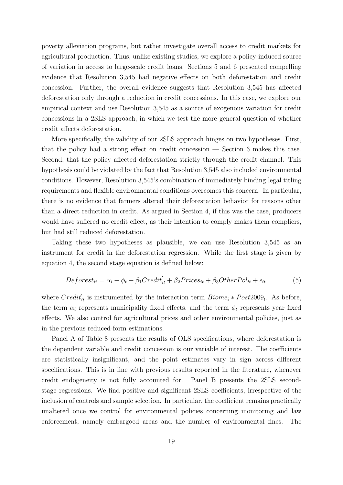poverty alleviation programs, but rather investigate overall access to credit markets for agricultural production. Thus, unlike existing studies, we explore a policy-induced source of variation in access to large-scale credit loans. Sections 5 and 6 presented compelling evidence that Resolution 3,545 had negative effects on both deforestation and credit concession. Further, the overall evidence suggests that Resolution 3,545 has affected deforestation only through a reduction in credit concessions. In this case, we explore our empirical context and use Resolution 3,545 as a source of exogenous variation for credit concessions in a 2SLS approach, in which we test the more general question of whether credit affects deforestation.

More specifically, the validity of our 2SLS approach hinges on two hypotheses. First, that the policy had a strong effect on credit concession — Section 6 makes this case. Second, that the policy affected deforestation strictly through the credit channel. This hypothesis could be violated by the fact that Resolution 3,545 also included environmental conditions. However, Resolution 3,545's combination of immediately binding legal titling requirements and flexible environmental conditions overcomes this concern. In particular, there is no evidence that farmers altered their deforestation behavior for reasons other than a direct reduction in credit. As argued in Section 4, if this was the case, producers would have suffered no credit effect, as their intention to comply makes them compliers, but had still reduced deforestation.

Taking these two hypotheses as plausible, we can use Resolution 3,545 as an instrument for credit in the deforestation regression. While the first stage is given by equation 4, the second stage equation is defined below:

$$
Deforest_{it} = \alpha_i + \phi_t + \beta_1 Credit'_{it} + \beta_2 Prices_{it} + \beta_3 OtherPol_{it} + \epsilon_{it}
$$
\n(5)

where  $Credit'_{it}$  is instrumented by the interaction term  $Biome_i * Post2009_t$ . As before, the term  $\alpha_i$  represents municipality fixed effects, and the term  $\phi_t$  represents year fixed effects. We also control for agricultural prices and other environmental policies, just as in the previous reduced-form estimations.

Panel A of Table 8 presents the results of OLS specifications, where deforestation is the dependent variable and credit concession is our variable of interest. The coefficients are statistically insignificant, and the point estimates vary in sign across different specifications. This is in line with previous results reported in the literature, whenever credit endogeneity is not fully accounted for. Panel B presents the 2SLS secondstage regressions. We find positive and significant 2SLS coefficients, irrespective of the inclusion of controls and sample selection. In particular, the coefficient remains practically unaltered once we control for environmental policies concerning monitoring and law enforcement, namely embargoed areas and the number of environmental fines. The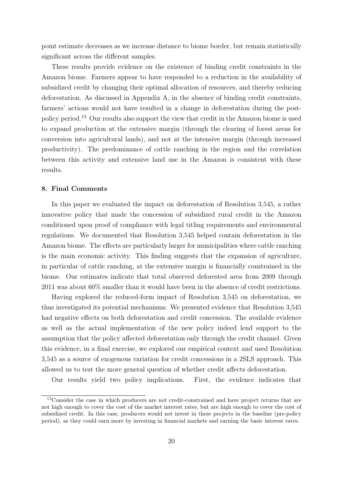point estimate decreases as we increase distance to biome border, but remain statistically significant across the different samples.

These results provide evidence on the existence of binding credit constraints in the Amazon biome. Farmers appear to have responded to a reduction in the availability of subsidized credit by changing their optimal allocation of resources, and thereby reducing deforestation. As discussed in Appendix A, in the absence of binding credit constraints, farmers' actions would not have resulted in a change in deforestation during the postpolicy period.<sup>13</sup> Our results also support the view that credit in the Amazon biome is used to expand production at the extensive margin (through the clearing of forest areas for conversion into agricultural lands), and not at the intensive margin (through increased productivity). The predominance of cattle ranching in the region and the correlation between this activity and extensive land use in the Amazon is consistent with these results.

#### 8. Final Comments

In this paper we evaluated the impact on deforestation of Resolution 3,545, a rather innovative policy that made the concession of subsidized rural credit in the Amazon conditioned upon proof of compliance with legal titling requirements and environmental regulations. We documented that Resolution 3,545 helped contain deforestation in the Amazon biome. The effects are particularly larger for municipalities where cattle ranching is the main economic activity. This finding suggests that the expansion of agriculture, in particular of cattle ranching, at the extensive margin is financially constrained in the biome. Our estimates indicate that total observed deforested area from 2009 through 2011 was about 60% smaller than it would have been in the absence of credit restrictions.

Having explored the reduced-form impact of Resolution 3,545 on deforestation, we thus investigated its potential mechanisms. We presented evidence that Resolution 3,545 had negative effects on both deforestation and credit concession. The available evidence as well as the actual implementation of the new policy indeed lend support to the assumption that the policy affected deforestation only through the credit channel. Given this evidence, in a final exercise, we explored our empirical context and used Resolution 3,545 as a source of exogenous variation for credit concessions in a 2SLS approach. This allowed us to test the more general question of whether credit affects deforestation.

Our results yield two policy implications. First, the evidence indicates that

<sup>&</sup>lt;sup>13</sup>Consider the case in which producers are not credit-constrained and have project returns that are not high enough to cover the cost of the market interest rates, but are high enough to cover the cost of subsidized credit. In this case, producers would not invest in these projects in the baseline (pre-policy period), as they could earn more by investing in financial markets and earning the basic interest rates.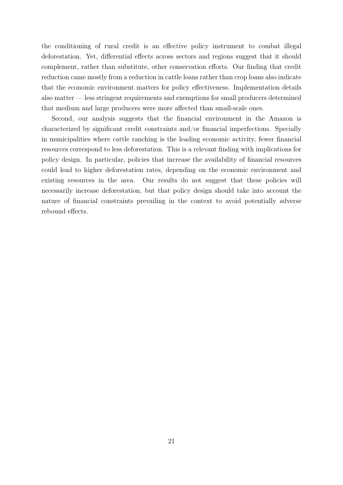the conditioning of rural credit is an effective policy instrument to combat illegal deforestation. Yet, differential effects across sectors and regions suggest that it should complement, rather than substitute, other conservation efforts. Our finding that credit reduction came mostly from a reduction in cattle loans rather than crop loans also indicate that the economic environment matters for policy effectiveness. Implementation details also matter — less stringent requirements and exemptions for small producers determined that medium and large producers were more affected than small-scale ones.

Second, our analysis suggests that the financial environment in the Amazon is characterized by significant credit constraints and/or financial imperfections. Specially in municipalities where cattle ranching is the leading economic activity, fewer financial resources correspond to less deforestation. This is a relevant finding with implications for policy design. In particular, policies that increase the availability of financial resources could lead to higher deforestation rates, depending on the economic environment and existing resources in the area. Our results do not suggest that these policies will necessarily increase deforestation, but that policy design should take into account the nature of financial constraints prevailing in the context to avoid potentially adverse rebound effects.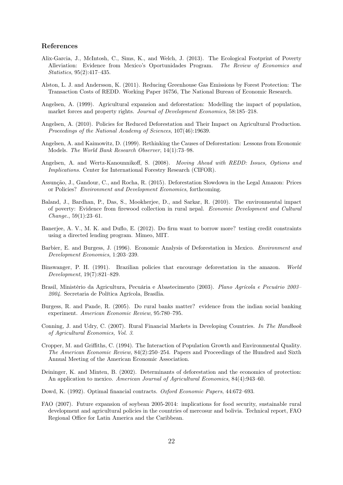#### References

- Alix-Garcia, J., McIntosh, C., Sims, K., and Welch, J. (2013). The Ecological Footprint of Poverty Alleviation: Evidence from Mexico's Oportunidades Program. The Review of Economics and Statistics, 95(2):417–435.
- Alston, L. J. and Andersson, K. (2011). Reducing Greenhouse Gas Emissions by Forest Protection: The Transaction Costs of REDD. Working Paper 16756, The National Bureau of Economic Research.
- Angelsen, A. (1999). Agricultural expansion and deforestation: Modelling the impact of population, market forces and property rights. Journal of Development Economics, 58:185–218.
- Angelsen, A. (2010). Policies for Reduced Deforestation and Their Impact on Agricultural Production. Proceedings of the National Academy of Sciences, 107(46):19639.
- Angelsen, A. and Kaimowitz, D. (1999). Rethinking the Causes of Deforestation: Lessons from Economic Models. The World Bank Research Observer, 14(1):73–98.
- Angelsen, A. and Wertz-Kanounnikoff, S. (2008). Moving Ahead with REDD: Issues, Options and Implications. Center for International Forestry Research (CIFOR).
- Assunção, J., Gandour, C., and Rocha, R. (2015). Deforestation Slowdown in the Legal Amazon: Prices or Policies? Environment and Development Economics, forthcoming.
- Baland, J., Bardhan, P., Das, S., Mookherjee, D., and Sarkar, R. (2010). The environmental impact of poverty: Evidence from firewood collection in rural nepal. Economic Development and Cultural Change., 59(1):23–61.
- Banerjee, A. V., M. K. and Duflo, E. (2012). Do firm want to borrow more? testing credit constraints using a directed lending program. Mimeo, MIT.
- Barbier, E. and Burgess, J. (1996). Economic Analysis of Deforestation in Mexico. Environment and Development Economics, 1:203–239.
- Binswanger, P. H. (1991). Brazilian policies that encourage deforestation in the amazon. World Development, 19(7):821–829.
- Brasil, Ministério da Agricultura, Pecuária e Abastecimento (2003). Plano Agrícola e Pecuário 2003– 2004. Secretaria de Política Agrícola, Brasília.
- Burgess, R. and Pande, R. (2005). Do rural banks matter? evidence from the indian social banking experiment. American Economic Review, 95:780–795.
- Conning, J. and Udry, C. (2007). Rural Financial Markets in Developing Countries. In The Handbook of Agricultural Economics, Vol. 3.
- Cropper, M. and Griffiths, C. (1994). The Interaction of Population Growth and Environmental Quality. The American Economic Review, 84(2):250–254. Papers and Proceedings of the Hundred and Sixth Annual Meeting of the American Economic Association.
- Deininger, K. and Minten, B. (2002). Determinants of deforestation and the economics of protection: An application to mexico. American Journal of Agricultural Economics, 84(4):943–60.
- Dowd, K. (1992). Optimal financial contracts. Oxford Economic Papers, 44:672–693.
- FAO (2007). Future expansion of soybean 2005-2014: implications for food security, sustainable rural development and agricultural policies in the countries of mercosur and bolivia. Technical report, FAO Regional Office for Latin America and the Caribbean.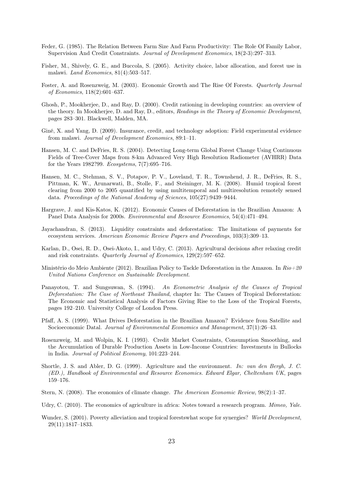- Feder, G. (1985). The Relation Between Farm Size And Farm Productivity: The Role Of Family Labor, Supervision And Credit Constraints. Journal of Development Economics, 18(2-3):297–313.
- Fisher, M., Shively, G. E., and Buccola, S. (2005). Activity choice, labor allocation, and forest use in malawi. Land Economics, 81(4):503–517.
- Foster, A. and Rosenzweig, M. (2003). Economic Growth and The Rise Of Forests. Quarterly Journal of Economics, 118(2):601–637.
- Ghosh, P., Mookherjee, D., and Ray, D. (2000). Credit rationing in developing countries: an overview of the theory. In Mookherjee, D. and Ray, D., editors, Readings in the Theory of Economic Development, pages 283–301. Blackwell, Malden, MA.
- Giné, X. and Yang, D. (2009). Insurance, credit, and technology adoption: Field experimental evidence from malawi. Journal of Development Economics, 89:1–11.
- Hansen, M. C. and DeFries, R. S. (2004). Detecting Long-term Global Forest Change Using Continuous Fields of Tree-Cover Maps from 8-km Advanced Very High Resolution Radiometer (AVHRR) Data for the Years 1982?99. Ecosystems, 7(7):695–716.
- Hansen, M. C., Stehman, S. V., Potapov, P. V., Loveland, T. R., Townshend, J. R., DeFries, R. S., Pittman, K. W., Arunarwati, B., Stolle, F., and Steininger, M. K. (2008). Humid tropical forest clearing from 2000 to 2005 quantified by using multitemporal and multiresolution remotely sensed data. Proceedings of the National Academy of Sciences, 105(27):9439–9444.
- Hargrave, J. and Kis-Katos, K. (2012). Economic Causes of Deforestation in the Brazilian Amazon: A Panel Data Analysis for 2000s. Environmental and Resource Economics, 54(4):471–494.
- Jayachandran, S. (2013). Liquidity constraints and deforestation: The limitations of payments for ecosystem services. American Economic Review Papers and Proceedings, 103(3):309–13.
- Karlan, D., Osei, R. D., Osei-Akoto, I., and Udry, C. (2013). Agricultural decisions after relaxing credit and risk constraints. Quarterly Journal of Economics, 129(2):597–652.
- Ministério do Meio Ambiente (2012). Brazilian Policy to Tackle Deforestation in the Amazon. In  $Rio+20$ United Nations Conference on Sustainable Development.
- Panayotou, T. and Sungsuwan, S. (1994). An Econometric Analysis of the Causes of Tropical Deforestation: The Case of Northeast Thailand, chapter In: The Causes of Tropical Deforestation: The Economic and Statistical Analysis of Factors Giving Rise to the Loss of the Tropical Forests, pages 192–210. University College of London Press.
- Pfaff, A. S. (1999). What Drives Deforestation in the Brazilian Amazon? Evidence from Satellite and Socioeconomic Datal. Journal of Environmental Economics and Management, 37(1):26–43.
- Rosenzweig, M. and Wolpin, K. I. (1993). Credit Market Constraints, Consumption Smoothing, and the Accumulation of Durable Production Assets in Low-Income Countries: Investments in Bullocks in India. Journal of Political Economy, 101:223–244.
- Shortle, J. S. and Abler, D. G. (1999). Agriculture and the environment. In: van den Bergh, J. C. (ED.), Handbook of Environmental and Resource Economics. Edward Elgar, Cheltenham UK, pages 159–176.
- Stern, N. (2008). The economics of climate change. The American Economic Review, 98(2):1–37.
- Udry, C. (2010). The economics of agriculture in africa: Notes toward a research program. *Mimeo, Yale.*
- Wunder, S. (2001). Poverty alleviation and tropical forestswhat scope for synergies? World Development, 29(11):1817–1833.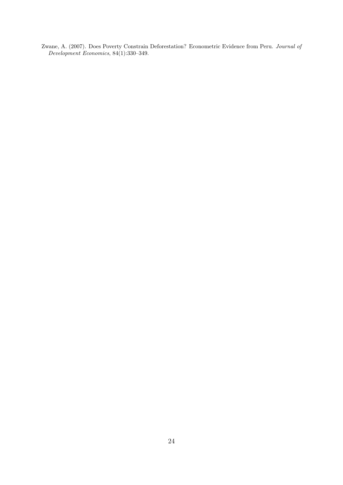Zwane, A. (2007). Does Poverty Constrain Deforestation? Econometric Evidence from Peru. Journal of Development Economics, 84(1):330–349.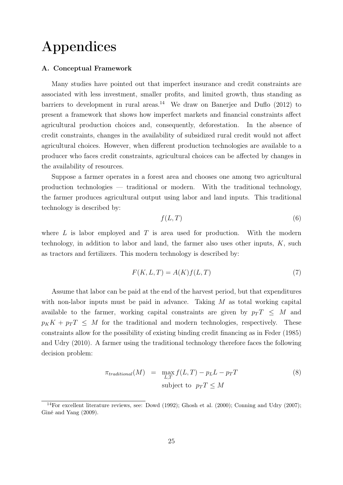## Appendices

#### A. Conceptual Framework

Many studies have pointed out that imperfect insurance and credit constraints are associated with less investment, smaller profits, and limited growth, thus standing as barriers to development in rural areas.<sup>14</sup> We draw on Banerjee and Duflo  $(2012)$  to present a framework that shows how imperfect markets and financial constraints affect agricultural production choices and, consequently, deforestation. In the absence of credit constraints, changes in the availability of subsidized rural credit would not affect agricultural choices. However, when different production technologies are available to a producer who faces credit constraints, agricultural choices can be affected by changes in the availability of resources.

Suppose a farmer operates in a forest area and chooses one among two agricultural production technologies — traditional or modern. With the traditional technology, the farmer produces agricultural output using labor and land inputs. This traditional technology is described by:

$$
f(L,T) \tag{6}
$$

where  $L$  is labor employed and  $T$  is area used for production. With the modern technology, in addition to labor and land, the farmer also uses other inputs,  $K$ , such as tractors and fertilizers. This modern technology is described by:

$$
F(K, L, T) = A(K)f(L, T)
$$
\n<sup>(7)</sup>

Assume that labor can be paid at the end of the harvest period, but that expenditures with non-labor inputs must be paid in advance. Taking  $M$  as total working capital available to the farmer, working capital constraints are given by  $p_T T \leq M$  and  $p_K K + p_T T \leq M$  for the traditional and modern technologies, respectively. These constraints allow for the possibility of existing binding credit financing as in Feder (1985) and Udry (2010). A farmer using the traditional technology therefore faces the following decision problem:

$$
\pi_{traditional}(M) = \max_{L,T} f(L,T) - p_L L - p_T T
$$
\n
$$
\text{subject to } p_T T \leq M
$$
\n(8)

<sup>&</sup>lt;sup>14</sup>For excellent literature reviews, see: Dowd (1992); Ghosh et al. (2000); Conning and Udry (2007); Giné and Yang (2009).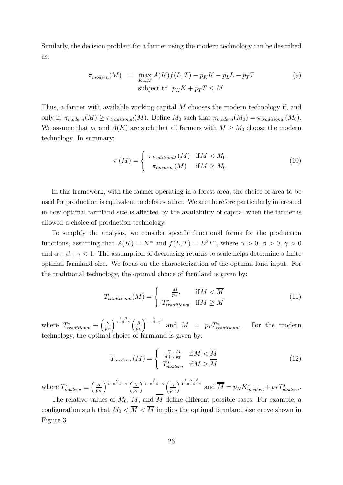Similarly, the decision problem for a farmer using the modern technology can be described as:

$$
\pi_{modern}(M) = \max_{K, L, T} A(K) f(L, T) - p_K K - p_L L - p_T T
$$
\n
$$
\text{subject to } p_K K + p_T T \le M
$$
\n(9)

Thus, a farmer with available working capital M chooses the modern technology if, and only if,  $\pi_{modern}(M) \geq \pi_{traditional}(M)$ . Define  $M_0$  such that  $\pi_{modern}(M_0) = \pi_{traditional}(M_0)$ . We assume that  $p_k$  and  $A(K)$  are such that all farmers with  $M \geq M_0$  choose the modern technology. In summary:

$$
\pi\left(M\right) = \begin{cases}\n\pi_{traditional}\left(M\right) & \text{if } M < M_0 \\
\pi_{modern}\left(M\right) & \text{if } M \geq M_0\n\end{cases} \tag{10}
$$

In this framework, with the farmer operating in a forest area, the choice of area to be used for production is equivalent to deforestation. We are therefore particularly interested in how optimal farmland size is affected by the availability of capital when the farmer is allowed a choice of production technology.

To simplify the analysis, we consider specific functional forms for the production functions, assuming that  $A(K) = K^{\alpha}$  and  $f(L,T) = L^{\beta}T^{\gamma}$ , where  $\alpha > 0$ ,  $\beta > 0$ ,  $\gamma > 0$ and  $\alpha + \beta + \gamma < 1$ . The assumption of decreasing returns to scale helps determine a finite optimal farmland size. We focus on the characterization of the optimal land input. For the traditional technology, the optimal choice of farmland is given by:

$$
T_{traditional}(M) = \begin{cases} \frac{M}{p_T}, & \text{if } M < \overline{M} \\ T_{traditional}^* & \text{if } M \ge \overline{M} \end{cases}
$$
 (11)

where  $T_{traditional}^* \equiv \left(\frac{\gamma}{p_i}\right)$  $p_{T}$  $\frac{1-\beta}{1-\beta-\gamma}$  ( $\beta$ p<sup>L</sup>  $\int_{1-\beta-\gamma}^{\frac{\beta}{1-\beta-\gamma}}$  and  $\overline{M}$  =  $p_T T_{tr}^*$ For the modern technology, the optimal choice of farmland is given by:

$$
T_{modern} (M) = \begin{cases} \frac{\gamma}{\alpha + \gamma} \frac{M}{p_T} & \text{if } M < \overline{M} \\ T_{modern}^* & \text{if } M \ge \overline{M} \end{cases}
$$
(12)

where  $T_{modern}^* \equiv \left(\frac{\alpha}{p_B}\right)$ p<sup>K</sup>  $\frac{\alpha}{1-\alpha-\beta-\gamma}$   $\int$   $\beta$ p<sup>L</sup>  $\int \frac{\beta}{1-\alpha-\beta-\gamma}$   $\int$   $\frac{\gamma}{\gamma}$  $p_{T}$  $\int_{1-\alpha-\beta-\gamma}^{\frac{1-\alpha-\beta}{1-\alpha-\beta-\gamma}}$  and  $\overline{\overline{M}} = p_K K_{modern}^* + p_T T_{modern}^*$ .

The relative values of  $M_0$ ,  $\overline{M}$ , and  $\overline{M}$  define different possible cases. For example, a configuration such that  $M_0 < \overline{M} < \overline{\overline{M}}$  implies the optimal farmland size curve shown in Figure 3.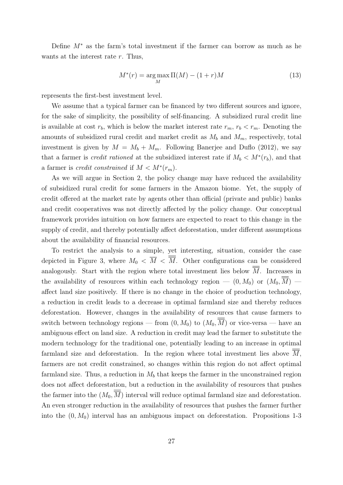Define M<sup>∗</sup> as the farm's total investment if the farmer can borrow as much as he wants at the interest rate r. Thus,

$$
M^*(r) = \underset{M}{\text{arg}\max} \Pi(M) - (1+r)M\tag{13}
$$

represents the first-best investment level.

We assume that a typical farmer can be financed by two different sources and ignore, for the sake of simplicity, the possibility of self-financing. A subsidized rural credit line is available at cost  $r_b$ , which is below the market interest rate  $r_m$ ,  $r_b < r_m$ . Denoting the amounts of subsidized rural credit and market credit as  $M_b$  and  $M_m$ , respectively, total investment is given by  $M = M_b + M_m$ . Following Banerjee and Duflo (2012), we say that a farmer is *credit rationed* at the subsidized interest rate if  $M_b < M^*(r_b)$ , and that a farmer is *credit constrained* if  $M < M^*(r_m)$ .

As we will argue in Section 2, the policy change may have reduced the availability of subsidized rural credit for some farmers in the Amazon biome. Yet, the supply of credit offered at the market rate by agents other than official (private and public) banks and credit cooperatives was not directly affected by the policy change. Our conceptual framework provides intuition on how farmers are expected to react to this change in the supply of credit, and thereby potentially affect deforestation, under different assumptions about the availability of financial resources.

To restrict the analysis to a simple, yet interesting, situation, consider the case depicted in Figure 3, where  $M_0 < \overline{M} < \overline{M}$ . Other configurations can be considered analogously. Start with the region where total investment lies below  $\overline{M}$ . Increases in the availability of resources within each technology region  $(0, M_0)$  or  $(M_0, \overline{M})$   $$ affect land size positively. If there is no change in the choice of production technology, a reduction in credit leads to a decrease in optimal farmland size and thereby reduces deforestation. However, changes in the availability of resources that cause farmers to switch between technology regions — from  $(0, M_0)$  to  $(M_0, \overline{M})$  or vice-versa — have an ambiguous effect on land size. A reduction in credit may lead the farmer to substitute the modern technology for the traditional one, potentially leading to an increase in optimal farmland size and deforestation. In the region where total investment lies above  $\overline{\overline{M}}$ , farmers are not credit constrained, so changes within this region do not affect optimal farmland size. Thus, a reduction in  $M_b$  that keeps the farmer in the unconstrained region does not affect deforestation, but a reduction in the availability of resources that pushes the farmer into the  $(M_0, \overline{M})$  interval will reduce optimal farmland size and deforestation. An even stronger reduction in the availability of resources that pushes the farmer further into the  $(0, M_0)$  interval has an ambiguous impact on deforestation. Propositions 1-3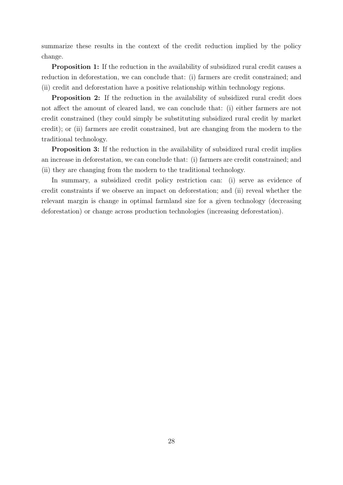summarize these results in the context of the credit reduction implied by the policy change.

Proposition 1: If the reduction in the availability of subsidized rural credit causes a reduction in deforestation, we can conclude that: (i) farmers are credit constrained; and (ii) credit and deforestation have a positive relationship within technology regions.

Proposition 2: If the reduction in the availability of subsidized rural credit does not affect the amount of cleared land, we can conclude that: (i) either farmers are not credit constrained (they could simply be substituting subsidized rural credit by market credit); or (ii) farmers are credit constrained, but are changing from the modern to the traditional technology.

Proposition 3: If the reduction in the availability of subsidized rural credit implies an increase in deforestation, we can conclude that: (i) farmers are credit constrained; and (ii) they are changing from the modern to the traditional technology.

In summary, a subsidized credit policy restriction can: (i) serve as evidence of credit constraints if we observe an impact on deforestation; and (ii) reveal whether the relevant margin is change in optimal farmland size for a given technology (decreasing deforestation) or change across production technologies (increasing deforestation).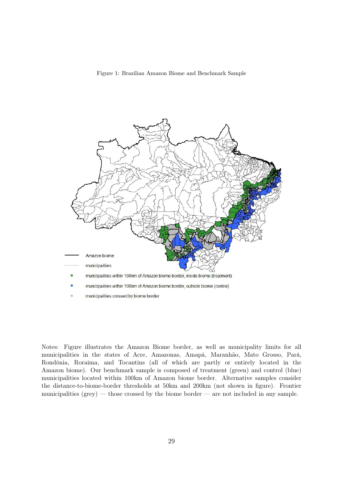Figure 1: Brazilian Amazon Biome and Benchmark Sample



Notes: Figure illustrates the Amazon Biome border, as well as municipality limits for all municipalities in the states of Acre, Amazonas, Amapá, Maranhão, Mato Grosso, Pará, Rondônia, Roraima, and Tocantins (all of which are partly or entirely located in the Amazon biome). Our benchmark sample is composed of treatment (green) and control (blue) municipalities located within 100km of Amazon biome border. Alternative samples consider the distance-to-biome-border thresholds at 50km and 200km (not shown in figure). Frontier municipalities (grey) — those crossed by the biome border — are not included in any sample.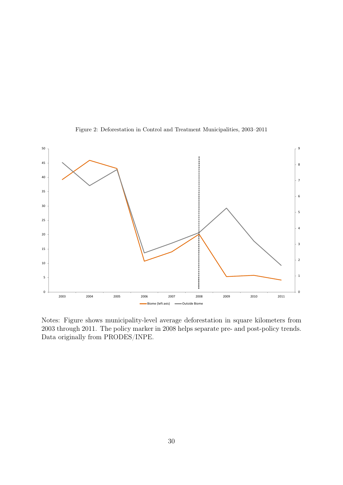

Figure 2: Deforestation in Control and Treatment Municipalities, 2003–2011

Notes: Figure shows municipality-level average deforestation in square kilometers from 2003 through 2011. The policy marker in 2008 helps separate pre- and post-policy trends. Data originally from PRODES/INPE.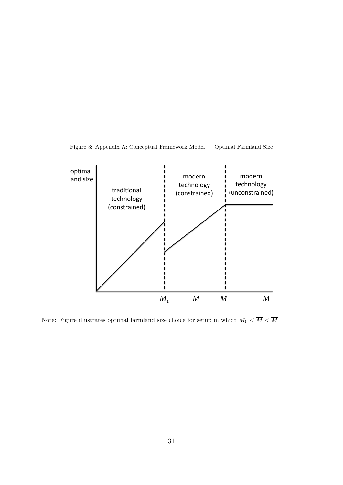Figure 3: Appendix A: Conceptual Framework Model — Optimal Farmland Size



Note: Figure illustrates optimal farmland size choice for setup in which  $M_0<\overline{M}<\overline{\overline{M}}$  .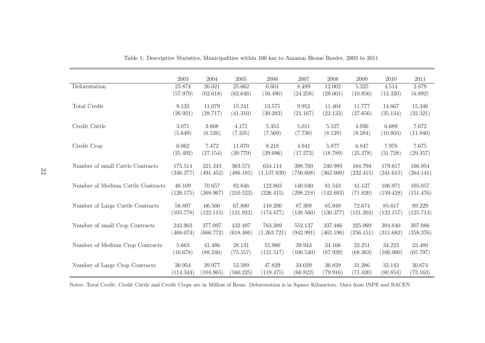|                                   | 2003      | 2004      | $\,2005\,$ | 2006        | 2007      | 2008      | 2009      | 2010      | 2011      |
|-----------------------------------|-----------|-----------|------------|-------------|-----------|-----------|-----------|-----------|-----------|
| Deforestation                     | 23.874    | 26.021    | 25.662     | 6.601       | 8.489     | 12.002    | 5.325     | 4.514     | 2.879     |
|                                   | (57.979)  | (62.618)  | (62.646)   | (16.490)    | (24.258)  | (28.001)  | (10.856)  | (12.320)  | (6.892)   |
| Total Credit                      | 9.133     | 11.079    | 15.241     | 13.571      | 9.952     | 11.404    | 11.777    | 14.667    | 15.346    |
|                                   | (26.921)  | (28.717)  | (41.310)   | (30.283)    | (21.167)  | (22.133)  | (27.656)  | (35.134)  | (32.321)  |
| Credit Cattle                     | 3.071     | 3.608     | 4.171      | 5.353       | 5.011     | 5.527     | 4.930     | 6.689     | 7.672     |
|                                   | (5.649)   | (6.526)   | (7.335)    | (7.569)     | (7.730)   | (8.129)   | (8.284)   | (10.803)  | (11.940)  |
| Credit Crop                       | 6.062     | 7.472     | 11.070     | $8.218\,$   | 4.941     | 5.877     | 6.847     | 7.978     | 7.675     |
|                                   | (25.492)  | (27.154)  | (39.779)   | (29.096)    | (17.273)  | (18.789)  | (25.278)  | (31.728)  | (29.357)  |
| Number of small Cattle Contracts  | 175.514   | 321.343   | 363.571    | 634.114     | 398.760   | 240.989   | 164.794   | 179.617   | 166.954   |
|                                   | (346.277) | (491.452) | (486.185)  | (1,137.839) | (750.608) | (362.000) | (232.415) | (241.615) | (264.141) |
| Number of Medium Cattle Contracts | 46.109    | 70.657    | 82.846     | 122.863     | 140.040   | 81.543    | 41.137    | 106.971   | 105.057   |
|                                   | (126.175) | (268.967) | (210.523)  | (226.415)   | (298.218) | (142.683) | (71.820)  | (159.428) | (151.476) |
| Number of Large Cattle Contracts  | 58.897    | 66.560    | 67.800     | 110.200     | 87.309    | 85.949    | 72.674    | 85.617    | 89.229    |
|                                   | (105.778) | (122.115) | (121.923)  | (174.477)   | (138.560) | (130.377) | (121.203) | (122.157) | (125.713) |
| Number of small Crop Contracts    | 243.903   | 377.097   | 432.497    | 763.389     | 552.137   | 337.486   | 225.069   | 304.840   | 307.086   |
|                                   | (468.074) | (666.772) | (618.486)  | (1,263.721) | (942.991) | (462.196) | (256.151) | (311.682) | (358.376) |
| Number of Medium Crop Contracts   | 5.663     | 41.486    | 28.131     | 55.960      | 39.943    | 34.166    | 22.251    | 34.223    | 23.480    |
|                                   | (16.678)  | (88.246)  | (75.557)   | (121.517)   | (106.540) | (87.939)  | (68.363)  | (106.060) | (65.797)  |
| Number of Large Crop Contracts    | 30.954    | 39.977    | 53.589     | 47.829      | 34.029    | 36.829    | 31.286    | 33.143    | 30.674    |
|                                   | (114.344) | (104.965) | (160.225)  | (119.475)   | (66.822)  | (79.916)  | (71.420)  | (80.854)  | (73.163)  |

Table 1: Descriptive Statistics, Municipalities within 100 km to Amazon Biome Border, 2003 to 2011

Notes: Total Credit, Credit Cattle and Credit Crops are in Million of Reais. Deforestation is in Square Kilometers. Data from INPE and BACEN.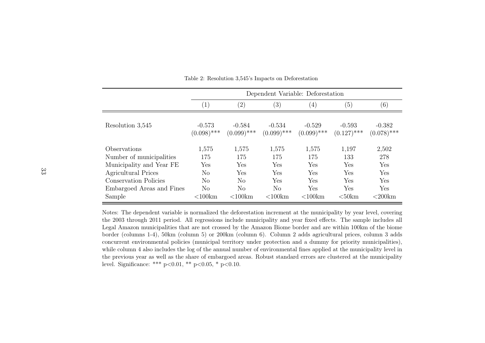|                                                                                                                                                   |                                       | Dependent Variable: Deforestation                  |                                                     |                                          |                                          |                                          |  |  |  |  |
|---------------------------------------------------------------------------------------------------------------------------------------------------|---------------------------------------|----------------------------------------------------|-----------------------------------------------------|------------------------------------------|------------------------------------------|------------------------------------------|--|--|--|--|
|                                                                                                                                                   | $\left( 1\right)$                     | $\left( 2\right)$                                  | (3)                                                 | $\left( 4\right)$                        | (5)                                      | (6)                                      |  |  |  |  |
| Resolution 3,545                                                                                                                                  | $-0.573$<br>$(0.098)$ ***             | $-0.584$<br>$(0.099)$ ***                          | $-0.534$<br>$(0.099)$ ***                           | $-0.529$<br>$(0.099)$ ***                | $-0.593$<br>$(0.127)$ ***                | $-0.382$<br>$(0.078)$ ***                |  |  |  |  |
| Observations<br>Number of municipalities<br>Municipality and Year FE<br>Agricultural Prices<br>Conservation Policies<br>Embargoed Areas and Fines | 1,575<br>175<br>Yes<br>No<br>No<br>No | 1,575<br>175<br>Yes<br>Yes<br>No<br>N <sub>o</sub> | 1,575<br>175<br>Yes<br>Yes<br>Yes<br>N <sub>o</sub> | 1,575<br>175<br>Yes<br>Yes<br>Yes<br>Yes | 1,197<br>133<br>Yes<br>Yes<br>Yes<br>Yes | 2,502<br>278<br>Yes<br>Yes<br>Yes<br>Yes |  |  |  |  |
| Sample                                                                                                                                            | $<$ 100 $km$                          | $<100$ km                                          | $<100$ km                                           | $<100$ km                                | $50km$                                   | $<200$ km                                |  |  |  |  |

Table 2: Resolution 3,545's Impacts on Deforestation

Notes: The dependent variable is normalized the deforestation increment at the municipality by year level, covering the 2003 through 2011 period. All regressions include municipality and year fixed effects. The sample includes allLegal Amazon municipalities that are not crossed by the Amazon Biome border and are within 100km of the biome border (columns 1-4), 50km (column 5) or 200km (column 6). Column <sup>2</sup> adds agricultural prices, column <sup>3</sup> adds concurrent environmental policies (municipal territory under protection and <sup>a</sup> dummy for priority municipalities),while column 4 also includes the log of the annual number of environmental fines applied at the municipality level in the previous year as well as the share of embargoed areas. Robust standard errors are clustered at the municipalitylevel. Significance: \*\*\*  $p<0.01$ , \*\*  $p<0.05$ , \*  $p<0.10$ .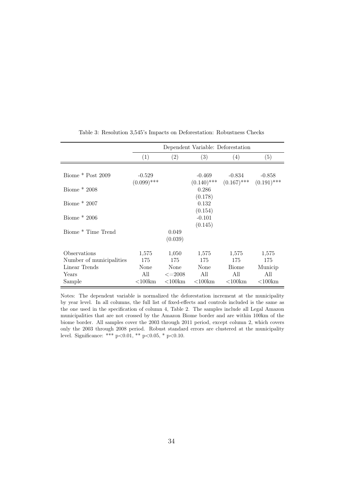|                          | Dependent Variable: Deforestation |               |              |                                           |              |  |  |  |
|--------------------------|-----------------------------------|---------------|--------------|-------------------------------------------|--------------|--|--|--|
|                          | (1)                               | (2)           | (3)          | (4)                                       | (5)          |  |  |  |
|                          |                                   |               |              |                                           |              |  |  |  |
| Biome $*$ Post 2009      | $-0.529$                          |               | -0.469       | -0.834                                    | $-0.858$     |  |  |  |
|                          | $(0.099)$ ***                     |               |              | $(0.140)$ *** $(0.167)$ *** $(0.191)$ *** |              |  |  |  |
| Biome $*2008$            |                                   |               | 0.286        |                                           |              |  |  |  |
|                          |                                   |               | (0.178)      |                                           |              |  |  |  |
| Biome * 2007             |                                   |               | 0.132        |                                           |              |  |  |  |
|                          |                                   |               | (0.154)      |                                           |              |  |  |  |
| Biome $*2006$            |                                   |               | $-0.101$     |                                           |              |  |  |  |
|                          |                                   |               | (0.145)      |                                           |              |  |  |  |
| Biome * Time Trend       |                                   | 0.049         |              |                                           |              |  |  |  |
|                          |                                   | (0.039)       |              |                                           |              |  |  |  |
| Observations             | 1,575                             | 1,050         | 1,575        | 1,575                                     | 1,575        |  |  |  |
| Number of municipalities | 175                               | 175           | 175          | 175                                       | 175          |  |  |  |
| Linear Trends            | None                              | None          | None         | Biome                                     | Municip      |  |  |  |
| Years                    | All                               | $\leq = 2008$ | All          | All                                       | All          |  |  |  |
|                          |                                   |               |              |                                           |              |  |  |  |
| Sample                   | $<$ 100 $km$                      | $<$ 100 $km$  | $<$ 100 $km$ | $<$ 100 $km$                              | $<$ 100 $km$ |  |  |  |

Table 3: Resolution 3,545's Impacts on Deforestation: Robustness Checks

Notes: The dependent variable is normalized the deforestation increment at the municipality by year level. In all columns, the full list of fixed-effects and controls included is the same as the one used in the specification of column 4, Table 2. The samples include all Legal Amazon municipalities that are not crossed by the Amazon Biome border and are within 100km of the biome border. All samples cover the 2003 through 2011 period, except column 2, which covers only the 2003 through 2008 period. Robust standard errors are clustered at the municipality level. Significance: \*\*\*  $p<0.01$ , \*\*  $p<0.05$ , \*  $p<0.10$ .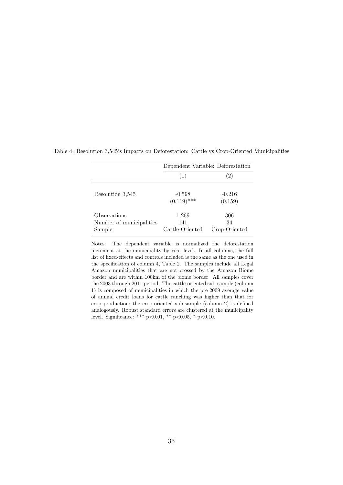|                                                    | Dependent Variable: Deforestation |                            |  |  |  |
|----------------------------------------------------|-----------------------------------|----------------------------|--|--|--|
|                                                    | (1)                               | $\left 2\right\rangle$     |  |  |  |
| Resolution 3.545                                   | $-0.598$<br>$(0.119)$ ***         | $-0.216$<br>(0.159)        |  |  |  |
| Observations<br>Number of municipalities<br>Sample | 1,269<br>141<br>Cattle-Oriented   | 306<br>34<br>Crop-Oriented |  |  |  |

Table 4: Resolution 3,545's Impacts on Deforestation: Cattle vs Crop-Oriented Municipalities

Notes: The dependent variable is normalized the deforestation increment at the municipality by year level. In all columns, the full list of fixed-effects and controls included is the same as the one used in the specification of column 4, Table 2. The samples include all Legal Amazon municipalities that are not crossed by the Amazon Biome border and are within 100km of the biome border. All samples cover the 2003 through 2011 period. The cattle-oriented sub-sample (column 1) is composed of municipalities in which the pre-2009 average value of annual credit loans for cattle ranching was higher than that for crop production; the crop-oriented sub-sample (column 2) is defined analogously. Robust standard errors are clustered at the municipality level. Significance: \*\*\* p<0.01, \*\* p<0.05, \* p<0.10.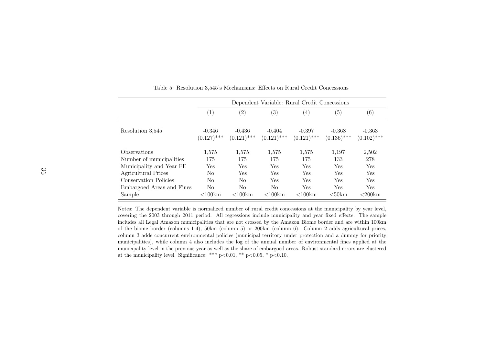|                           |                           | Dependent Variable: Rural Credit Concessions |                           |                           |                           |                           |  |  |  |  |
|---------------------------|---------------------------|----------------------------------------------|---------------------------|---------------------------|---------------------------|---------------------------|--|--|--|--|
|                           | $\left(1\right)$          | (2)                                          | $\left(3\right)$          | $\left(4\right)$          | (5)                       | (6)                       |  |  |  |  |
| Resolution 3.545          | $-0.346$<br>$(0.127)$ *** | $-0.436$<br>$(0.121)$ ***                    | $-0.404$<br>$(0.121)$ *** | $-0.397$<br>$(0.121)$ *** | $-0.368$<br>$(0.136)$ *** | $-0.363$<br>$(0.102)$ *** |  |  |  |  |
| Observations              | 1.575                     | 1.575                                        | 1,575                     | 1,575                     | 1,197                     | 2,502                     |  |  |  |  |
| Number of municipalities  | 175                       | 175                                          | 175                       | 175                       | 133                       | 278                       |  |  |  |  |
| Municipality and Year FE  | Yes                       | Yes                                          | Yes                       | Yes                       | Yes                       | Yes                       |  |  |  |  |
| Agricultural Prices       | N <sub>0</sub>            | Yes                                          | Yes                       | Yes                       | Yes                       | Yes                       |  |  |  |  |
| Conservation Policies     | No                        | No                                           | Yes                       | Yes                       | <b>Yes</b>                | <b>Yes</b>                |  |  |  |  |
| Embargoed Areas and Fines | N <sub>0</sub>            | No                                           | No                        | Yes                       | Yes                       | Yes                       |  |  |  |  |
| Sample                    | $<$ 100 $km$              | $<100$ km                                    | $<$ 100 $km$              | $<$ 100 $km$              | $< 50$ km                 | $<200$ km                 |  |  |  |  |

Table 5: Resolution 3,545's Mechanisms: Effects on Rural Credit Concessions

Notes: The dependent variable is normalized number of rural credit concessions at the municipality by year level, covering the 2003 through 2011 period. All regressions include municipality and year fixed effects. The sample includes all Legal Amazon municipalities that are not crossed by the Amazon Biome border and are within 100km of the biome border (columns 1-4), 50km (column 5) or 200km (column 6). Column <sup>2</sup> adds agricultural prices, column <sup>3</sup> adds concurrent environmental policies (municipal territory under protection and <sup>a</sup> dummy for priority municipalities), while column <sup>4</sup> also includes the log of the annual number of environmental fines applied at the municipality level in the previous year as well as the share of embargoed areas. Robust standard errors are clusteredat the municipality level. Significance: \*\*\*  $p<0.01$ , \*\*  $p<0.05$ , \*  $p<0.10$ .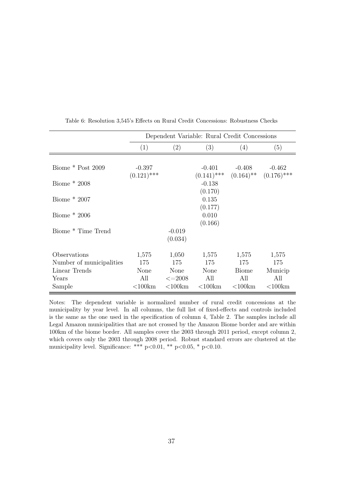|                          | Dependent Variable: Rural Credit Concessions |               |                                          |              |              |  |  |  |  |
|--------------------------|----------------------------------------------|---------------|------------------------------------------|--------------|--------------|--|--|--|--|
|                          | (1)                                          | (2)           | (3)                                      | (4)          | (5)          |  |  |  |  |
|                          |                                              |               |                                          |              |              |  |  |  |  |
| Biome * Post 2009        | $-0.397$                                     |               | $-0.401$                                 | $-0.408$     | $-0.462$     |  |  |  |  |
|                          | $(0.121)$ ***                                |               | $(0.141)$ *** $(0.164)$ ** $(0.176)$ *** |              |              |  |  |  |  |
| Biome $*2008$            |                                              |               | $-0.138$                                 |              |              |  |  |  |  |
|                          |                                              |               | (0.170)                                  |              |              |  |  |  |  |
| Biome $*2007$            |                                              |               | 0.135                                    |              |              |  |  |  |  |
|                          |                                              |               | (0.177)                                  |              |              |  |  |  |  |
| Biome $*2006$            |                                              |               | 0.010                                    |              |              |  |  |  |  |
|                          |                                              |               | (0.166)                                  |              |              |  |  |  |  |
| Biome * Time Trend       |                                              | $-0.019$      |                                          |              |              |  |  |  |  |
|                          |                                              | (0.034)       |                                          |              |              |  |  |  |  |
| Observations             | 1,575                                        | 1,050         | 1,575                                    | 1,575        | 1,575        |  |  |  |  |
| Number of municipalities | 175                                          | 175           | 175                                      | 175          | 175          |  |  |  |  |
| Linear Trends            | None                                         | None          | None                                     | <b>Biome</b> | Municip      |  |  |  |  |
| Years                    | All                                          | $\leq = 2008$ | All                                      | All          | All          |  |  |  |  |
| Sample                   | $<$ 100 $km$                                 | $<$ 100 $km$  | $<$ 100 $km$                             | $<$ 100 $km$ | $<$ 100 $km$ |  |  |  |  |

Table 6: Resolution 3,545's Effects on Rural Credit Concessions: Robustness Checks

Notes: The dependent variable is normalized number of rural credit concessions at the municipality by year level. In all columns, the full list of fixed-effects and controls included is the same as the one used in the specification of column 4, Table 2. The samples include all Legal Amazon municipalities that are not crossed by the Amazon Biome border and are within 100km of the biome border. All samples cover the 2003 through 2011 period, except column 2, which covers only the 2003 through 2008 period. Robust standard errors are clustered at the municipality level. Significance: \*\*\*  $p<0.01$ , \*\*  $p<0.05$ , \*  $p<0.10$ .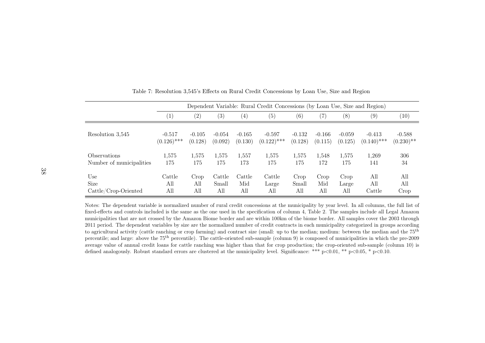|                            |                   | Dependent Variable: Rural Credit Concessions (by Loan Use, Size and Region) |          |                   |               |          |          |          |               |              |
|----------------------------|-------------------|-----------------------------------------------------------------------------|----------|-------------------|---------------|----------|----------|----------|---------------|--------------|
|                            | $\left( 1\right)$ | (2)                                                                         | (3)      | $\left( 4\right)$ | (5)           | (6)      | (7)      | (8)      | (9)           | (10)         |
| Resolution 3,545           | $-0.517$          | $-0.105$                                                                    | $-0.054$ | $-0.165$          | $-0.597$      | $-0.132$ | $-0.166$ | $-0.059$ | $-0.413$      | $-0.588$     |
|                            | $(0.126)$ ***     | (0.128)                                                                     | (0.092)  | (0.130)           | $(0.122)$ *** | (0.128)  | (0.115)  | (0.125)  | $(0.140)$ *** | $(0.230)$ ** |
| <i><b>Observations</b></i> | 1,575             | 1.575                                                                       | 1,575    | 1,557             | 1,575         | 1,575    | 1,548    | 1,575    | 1,269         | 306          |
| Number of municipalities   | 175               | 175                                                                         | 175      | 173               | 175           | 175      | 172      | 175      | 141           | 34           |
| Use                        | Cattle            | Crop                                                                        | Cattle   | Cattle            | Cattle        | Crop     | Crop     | Crop     | All           | All          |
| <b>Size</b>                | All               | All                                                                         | Small    | Mid               | Large         | Small    | Mid      | Large    | All           | All          |
| $Cattle/Crop-Oriented$     | All               | All                                                                         | All      | All               | All           | All      | All      | All      | Cattle        | Crop         |

Table 7: Resolution 3,545's Effects on Rural Credit Concessions by Loan Use, Size and Region

Notes: The dependent variable is normalized number of rural credit concessions at the municipality by year level. In all columns, the full list of fixed-effects and controls included is the same as the one used in the specification of column 4, Table 2. The samples include all Legal Amazon municipalities that are not crossed by the Amazon Biome border and are within 100km of the biome border. All samples cover the 2003 through 2011 period. The dependent variables by size are the normalized number of credit contracts in each municipality categorized in groups accordingto agricultural activity (cattle ranching or crop farming) and contract size (small: up to the median; medium: between the median and the  $75<sup>th</sup>$ percentile; and large: above the <sup>75</sup>th percentile). The cattle-oriented sub-sample (column 9) is composed of municipalities in which the pre-<sup>2009</sup> average value of annual credit loans for cattle ranching was higher than that for crop production; the crop-oriented sub-sample (column 10) isdefined analogously. Robust standard errors are clustered at the municipality level. Significance: \*\*\* <sup>p</sup><sup>&</sup>lt;0.01, \*\* <sup>p</sup><sup>&</sup>lt;0.05, \* <sup>p</sup><0.10.